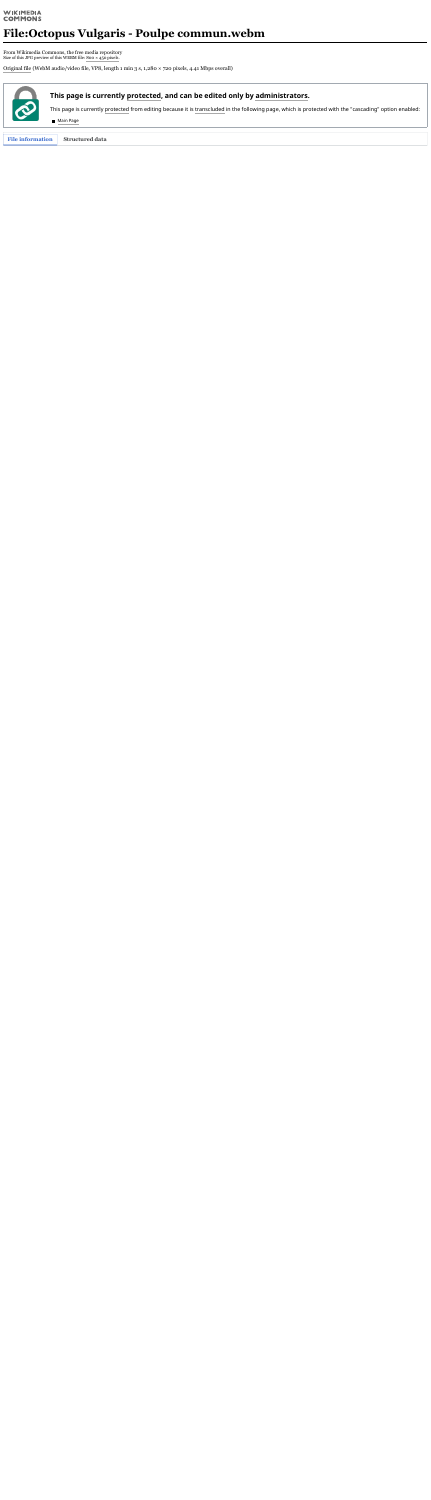#### **WIKIMEDIA COMMONS**

# **File:Octopus Vulgaris - Poulpe commun.webm**

From Wikimedia Commons, the free media repository Size of this JPG preview of this WEBM file: 800 × 450 [pixels.](https://upload.wikimedia.org/wikipedia/commons/thumb/9/9e/Octopus_Vulgaris_-_Poulpe_commun.webm/800px--Octopus_Vulgaris_-_Poulpe_commun.webm.jpg)

[Original](https://upload.wikimedia.org/wikipedia/commons/9/9e/Octopus_Vulgaris_-_Poulpe_commun.webm) file (WebM audio/video file, VP8, length 1 min 3 s, 1,280 × 720 pixels, 4.41 Mbps overall)



**File information Structured data**